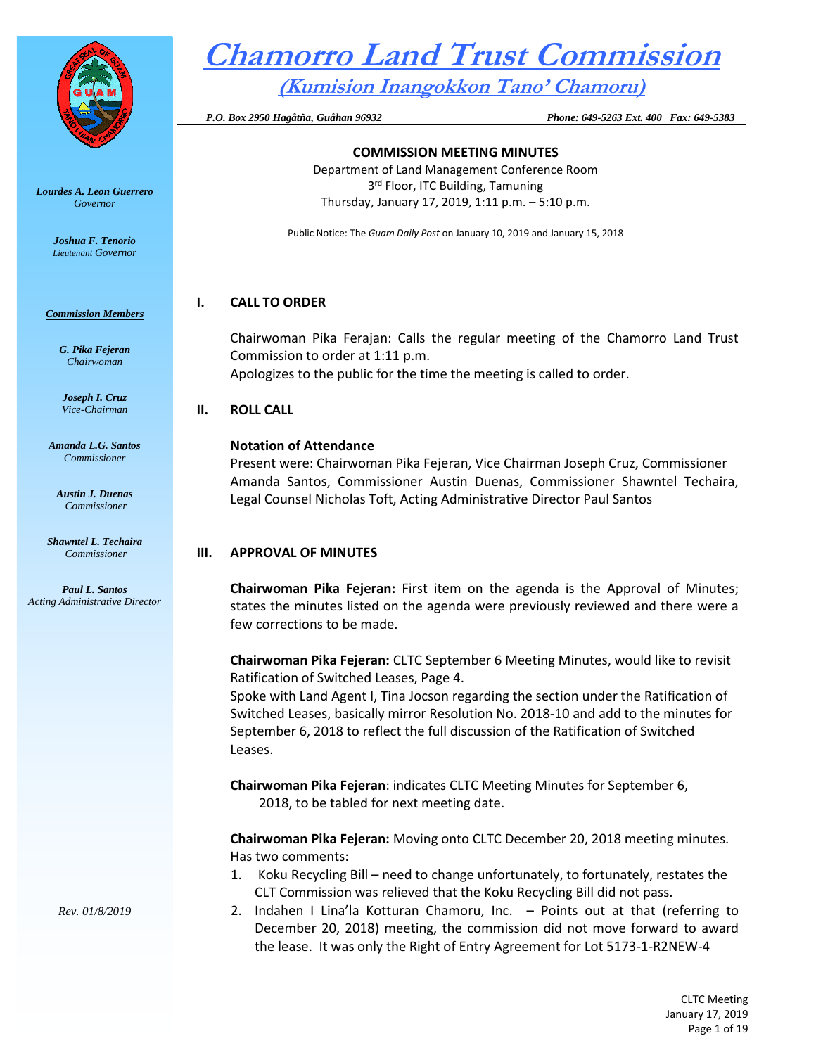

*Lourdes A. Leon Guerrero Governor* 

> *Joshua F. Tenorio Lieutenant Governor*

#### *Commission Members*

*G. Pika Fejeran Chairwoman*

*Joseph I. Cruz Vice-Chairman*

*Amanda L.G. Santos Commissioner*

*Austin J. Duenas Commissioner*

*Shawntel L. Techaira Commissioner*

*Paul L. Santos Acting Administrative Director*

# **Chamorro Land Trust Commission (Kumision Inangokkon Tano' Chamoru)**

 *P.O. Box 2950 Hagåtña, Guåhan 96932 Phone: 649-5263 Ext. 400 Fax: 649-5383*

# **COMMISSION MEETING MINUTES** Department of Land Management Conference Room

3<sup>rd</sup> Floor, ITC Building, Tamuning Thursday, January 17, 2019, 1:11 p.m. – 5:10 p.m.

Public Notice: The *Guam Daily Post* on January 10, 2019 and January 15, 2018

### **I. CALL TO ORDER**

Chairwoman Pika Ferajan: Calls the regular meeting of the Chamorro Land Trust Commission to order at 1:11 p.m. Apologizes to the public for the time the meeting is called to order.

### **II. ROLL CALL**

#### **Notation of Attendance**

Present were: Chairwoman Pika Fejeran, Vice Chairman Joseph Cruz, Commissioner Amanda Santos, Commissioner Austin Duenas, Commissioner Shawntel Techaira, Legal Counsel Nicholas Toft, Acting Administrative Director Paul Santos

# **III. APPROVAL OF MINUTES**

**Chairwoman Pika Fejeran:** First item on the agenda is the Approval of Minutes; states the minutes listed on the agenda were previously reviewed and there were a few corrections to be made.

**Chairwoman Pika Fejeran:** CLTC September 6 Meeting Minutes, would like to revisit Ratification of Switched Leases, Page 4.

Spoke with Land Agent I, Tina Jocson regarding the section under the Ratification of Switched Leases, basically mirror Resolution No. 2018-10 and add to the minutes for September 6, 2018 to reflect the full discussion of the Ratification of Switched Leases.

**Chairwoman Pika Fejeran**: indicates CLTC Meeting Minutes for September 6, 2018, to be tabled for next meeting date.

**Chairwoman Pika Fejeran:** Moving onto CLTC December 20, 2018 meeting minutes. Has two comments:

- 1. Koku Recycling Bill need to change unfortunately, to fortunately, restates the CLT Commission was relieved that the Koku Recycling Bill did not pass.
- 2. Indahen I Lina'la Kotturan Chamoru, Inc. Points out at that (referring to December 20, 2018) meeting, the commission did not move forward to award the lease. It was only the Right of Entry Agreement for Lot 5173-1-R2NEW-4

*Rev. 01/8/2019*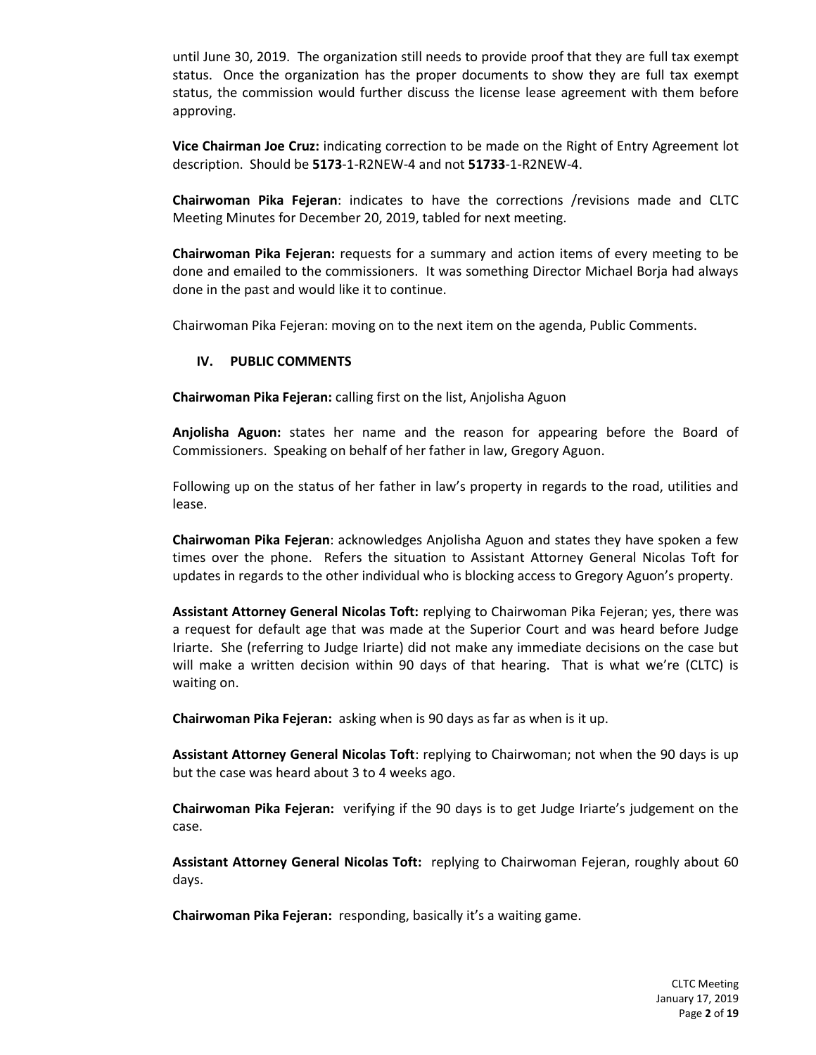until June 30, 2019. The organization still needs to provide proof that they are full tax exempt status. Once the organization has the proper documents to show they are full tax exempt status, the commission would further discuss the license lease agreement with them before approving.

**Vice Chairman Joe Cruz:** indicating correction to be made on the Right of Entry Agreement lot description. Should be **5173**-1-R2NEW-4 and not **51733**-1-R2NEW-4.

**Chairwoman Pika Fejeran**: indicates to have the corrections /revisions made and CLTC Meeting Minutes for December 20, 2019, tabled for next meeting.

**Chairwoman Pika Fejeran:** requests for a summary and action items of every meeting to be done and emailed to the commissioners. It was something Director Michael Borja had always done in the past and would like it to continue.

Chairwoman Pika Fejeran: moving on to the next item on the agenda, Public Comments.

#### **IV. PUBLIC COMMENTS**

**Chairwoman Pika Fejeran:** calling first on the list, Anjolisha Aguon

**Anjolisha Aguon:** states her name and the reason for appearing before the Board of Commissioners. Speaking on behalf of her father in law, Gregory Aguon.

Following up on the status of her father in law's property in regards to the road, utilities and lease.

**Chairwoman Pika Fejeran**: acknowledges Anjolisha Aguon and states they have spoken a few times over the phone. Refers the situation to Assistant Attorney General Nicolas Toft for updates in regards to the other individual who is blocking access to Gregory Aguon's property.

**Assistant Attorney General Nicolas Toft:** replying to Chairwoman Pika Fejeran; yes, there was a request for default age that was made at the Superior Court and was heard before Judge Iriarte. She (referring to Judge Iriarte) did not make any immediate decisions on the case but will make a written decision within 90 days of that hearing. That is what we're (CLTC) is waiting on.

**Chairwoman Pika Fejeran:** asking when is 90 days as far as when is it up.

**Assistant Attorney General Nicolas Toft**: replying to Chairwoman; not when the 90 days is up but the case was heard about 3 to 4 weeks ago.

**Chairwoman Pika Fejeran:** verifying if the 90 days is to get Judge Iriarte's judgement on the case.

**Assistant Attorney General Nicolas Toft:** replying to Chairwoman Fejeran, roughly about 60 days.

**Chairwoman Pika Fejeran:** responding, basically it's a waiting game.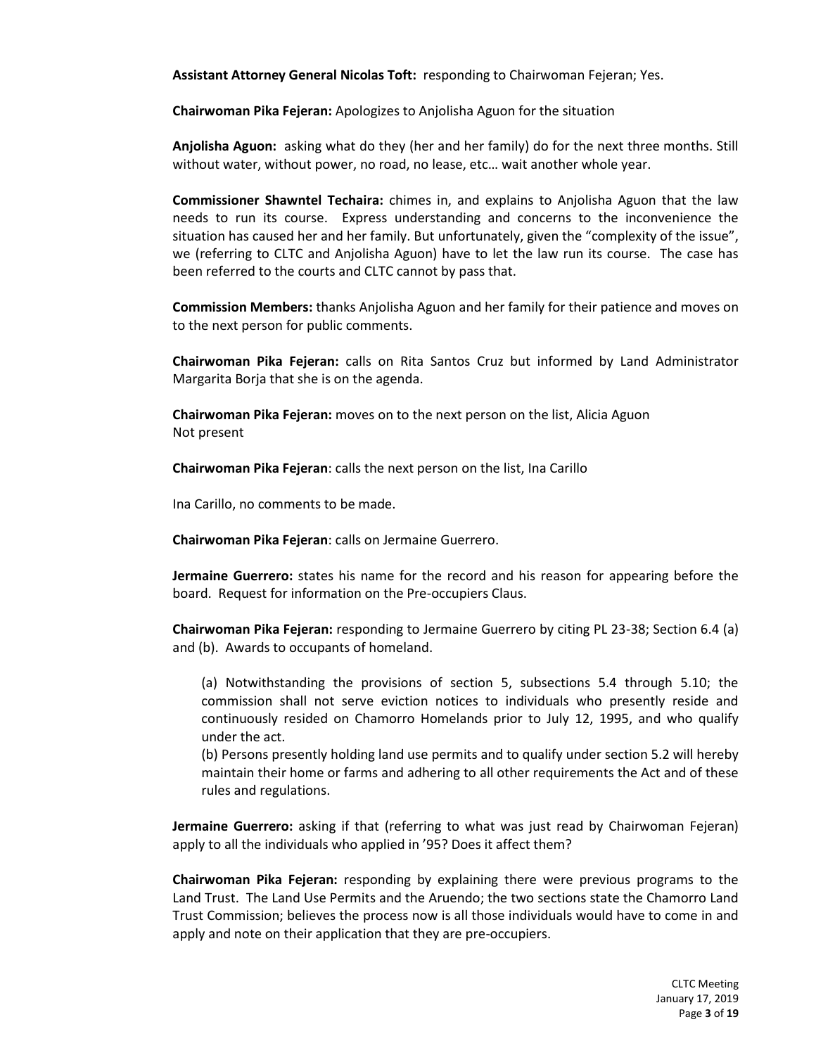**Assistant Attorney General Nicolas Toft:** responding to Chairwoman Fejeran; Yes.

**Chairwoman Pika Fejeran:** Apologizes to Anjolisha Aguon for the situation

**Anjolisha Aguon:** asking what do they (her and her family) do for the next three months. Still without water, without power, no road, no lease, etc… wait another whole year.

**Commissioner Shawntel Techaira:** chimes in, and explains to Anjolisha Aguon that the law needs to run its course. Express understanding and concerns to the inconvenience the situation has caused her and her family. But unfortunately, given the "complexity of the issue", we (referring to CLTC and Anjolisha Aguon) have to let the law run its course. The case has been referred to the courts and CLTC cannot by pass that.

**Commission Members:** thanks Anjolisha Aguon and her family for their patience and moves on to the next person for public comments.

**Chairwoman Pika Fejeran:** calls on Rita Santos Cruz but informed by Land Administrator Margarita Borja that she is on the agenda.

**Chairwoman Pika Fejeran:** moves on to the next person on the list, Alicia Aguon Not present

**Chairwoman Pika Fejeran**: calls the next person on the list, Ina Carillo

Ina Carillo, no comments to be made.

**Chairwoman Pika Fejeran**: calls on Jermaine Guerrero.

**Jermaine Guerrero:** states his name for the record and his reason for appearing before the board. Request for information on the Pre-occupiers Claus.

**Chairwoman Pika Fejeran:** responding to Jermaine Guerrero by citing PL 23-38; Section 6.4 (a) and (b). Awards to occupants of homeland.

(a) Notwithstanding the provisions of section 5, subsections 5.4 through 5.10; the commission shall not serve eviction notices to individuals who presently reside and continuously resided on Chamorro Homelands prior to July 12, 1995, and who qualify under the act.

(b) Persons presently holding land use permits and to qualify under section 5.2 will hereby maintain their home or farms and adhering to all other requirements the Act and of these rules and regulations.

**Jermaine Guerrero:** asking if that (referring to what was just read by Chairwoman Fejeran) apply to all the individuals who applied in '95? Does it affect them?

**Chairwoman Pika Fejeran:** responding by explaining there were previous programs to the Land Trust. The Land Use Permits and the Aruendo; the two sections state the Chamorro Land Trust Commission; believes the process now is all those individuals would have to come in and apply and note on their application that they are pre-occupiers.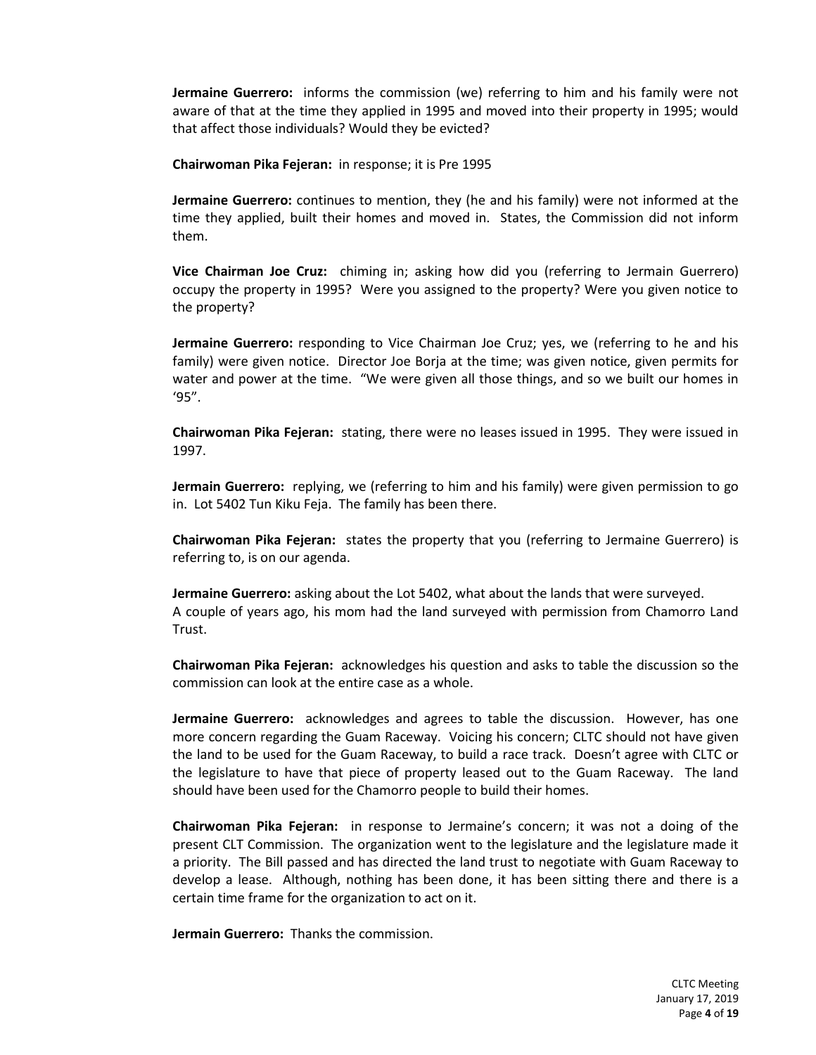**Jermaine Guerrero:** informs the commission (we) referring to him and his family were not aware of that at the time they applied in 1995 and moved into their property in 1995; would that affect those individuals? Would they be evicted?

**Chairwoman Pika Fejeran:** in response; it is Pre 1995

**Jermaine Guerrero:** continues to mention, they (he and his family) were not informed at the time they applied, built their homes and moved in. States, the Commission did not inform them.

**Vice Chairman Joe Cruz:** chiming in; asking how did you (referring to Jermain Guerrero) occupy the property in 1995? Were you assigned to the property? Were you given notice to the property?

**Jermaine Guerrero:** responding to Vice Chairman Joe Cruz; yes, we (referring to he and his family) were given notice. Director Joe Borja at the time; was given notice, given permits for water and power at the time. "We were given all those things, and so we built our homes in '95".

**Chairwoman Pika Fejeran:** stating, there were no leases issued in 1995. They were issued in 1997.

**Jermain Guerrero:** replying, we (referring to him and his family) were given permission to go in. Lot 5402 Tun Kiku Feja. The family has been there.

**Chairwoman Pika Fejeran:** states the property that you (referring to Jermaine Guerrero) is referring to, is on our agenda.

**Jermaine Guerrero:** asking about the Lot 5402, what about the lands that were surveyed. A couple of years ago, his mom had the land surveyed with permission from Chamorro Land Trust.

**Chairwoman Pika Fejeran:** acknowledges his question and asks to table the discussion so the commission can look at the entire case as a whole.

**Jermaine Guerrero:** acknowledges and agrees to table the discussion. However, has one more concern regarding the Guam Raceway. Voicing his concern; CLTC should not have given the land to be used for the Guam Raceway, to build a race track. Doesn't agree with CLTC or the legislature to have that piece of property leased out to the Guam Raceway. The land should have been used for the Chamorro people to build their homes.

**Chairwoman Pika Fejeran:** in response to Jermaine's concern; it was not a doing of the present CLT Commission. The organization went to the legislature and the legislature made it a priority. The Bill passed and has directed the land trust to negotiate with Guam Raceway to develop a lease. Although, nothing has been done, it has been sitting there and there is a certain time frame for the organization to act on it.

**Jermain Guerrero:** Thanks the commission.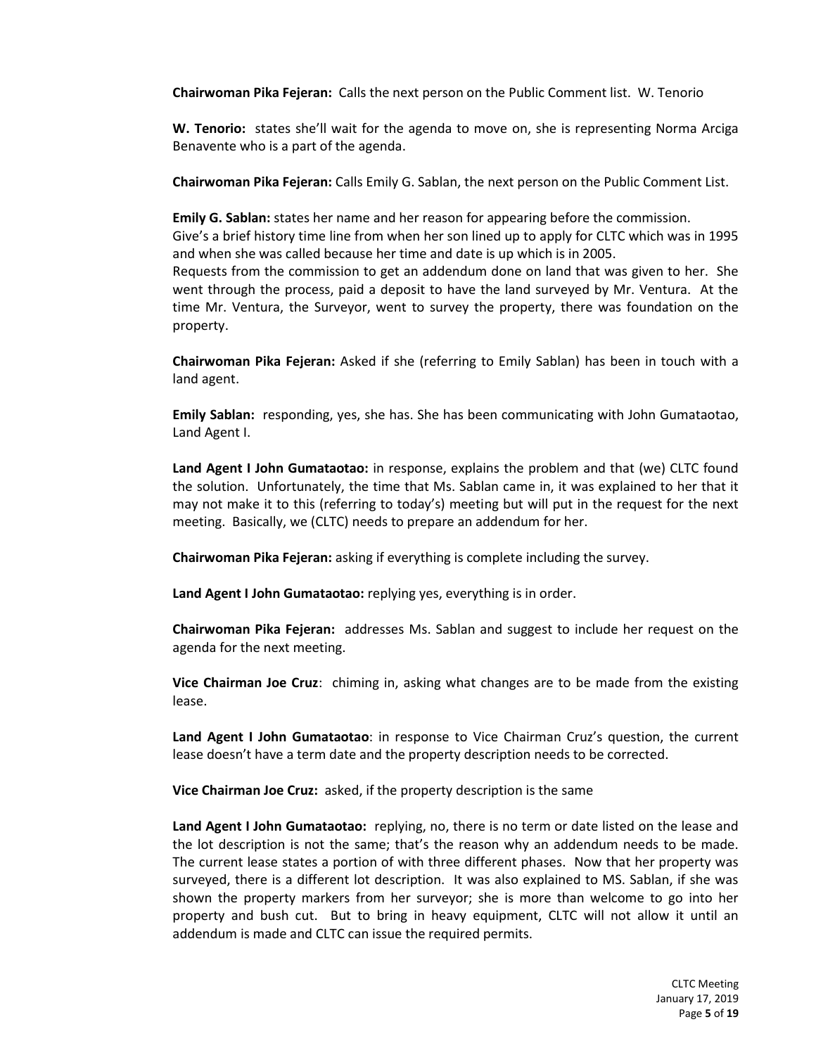**Chairwoman Pika Fejeran:** Calls the next person on the Public Comment list. W. Tenorio

**W. Tenorio:** states she'll wait for the agenda to move on, she is representing Norma Arciga Benavente who is a part of the agenda.

**Chairwoman Pika Fejeran:** Calls Emily G. Sablan, the next person on the Public Comment List.

**Emily G. Sablan:** states her name and her reason for appearing before the commission. Give's a brief history time line from when her son lined up to apply for CLTC which was in 1995 and when she was called because her time and date is up which is in 2005. Requests from the commission to get an addendum done on land that was given to her. She went through the process, paid a deposit to have the land surveyed by Mr. Ventura. At the time Mr. Ventura, the Surveyor, went to survey the property, there was foundation on the property.

**Chairwoman Pika Fejeran:** Asked if she (referring to Emily Sablan) has been in touch with a land agent.

**Emily Sablan:** responding, yes, she has. She has been communicating with John Gumataotao, Land Agent I.

**Land Agent I John Gumataotao:** in response, explains the problem and that (we) CLTC found the solution. Unfortunately, the time that Ms. Sablan came in, it was explained to her that it may not make it to this (referring to today's) meeting but will put in the request for the next meeting. Basically, we (CLTC) needs to prepare an addendum for her.

**Chairwoman Pika Fejeran:** asking if everything is complete including the survey.

**Land Agent I John Gumataotao:** replying yes, everything is in order.

**Chairwoman Pika Fejeran:** addresses Ms. Sablan and suggest to include her request on the agenda for the next meeting.

**Vice Chairman Joe Cruz**: chiming in, asking what changes are to be made from the existing lease.

**Land Agent I John Gumataotao**: in response to Vice Chairman Cruz's question, the current lease doesn't have a term date and the property description needs to be corrected.

**Vice Chairman Joe Cruz:** asked, if the property description is the same

**Land Agent I John Gumataotao:** replying, no, there is no term or date listed on the lease and the lot description is not the same; that's the reason why an addendum needs to be made. The current lease states a portion of with three different phases. Now that her property was surveyed, there is a different lot description. It was also explained to MS. Sablan, if she was shown the property markers from her surveyor; she is more than welcome to go into her property and bush cut. But to bring in heavy equipment, CLTC will not allow it until an addendum is made and CLTC can issue the required permits.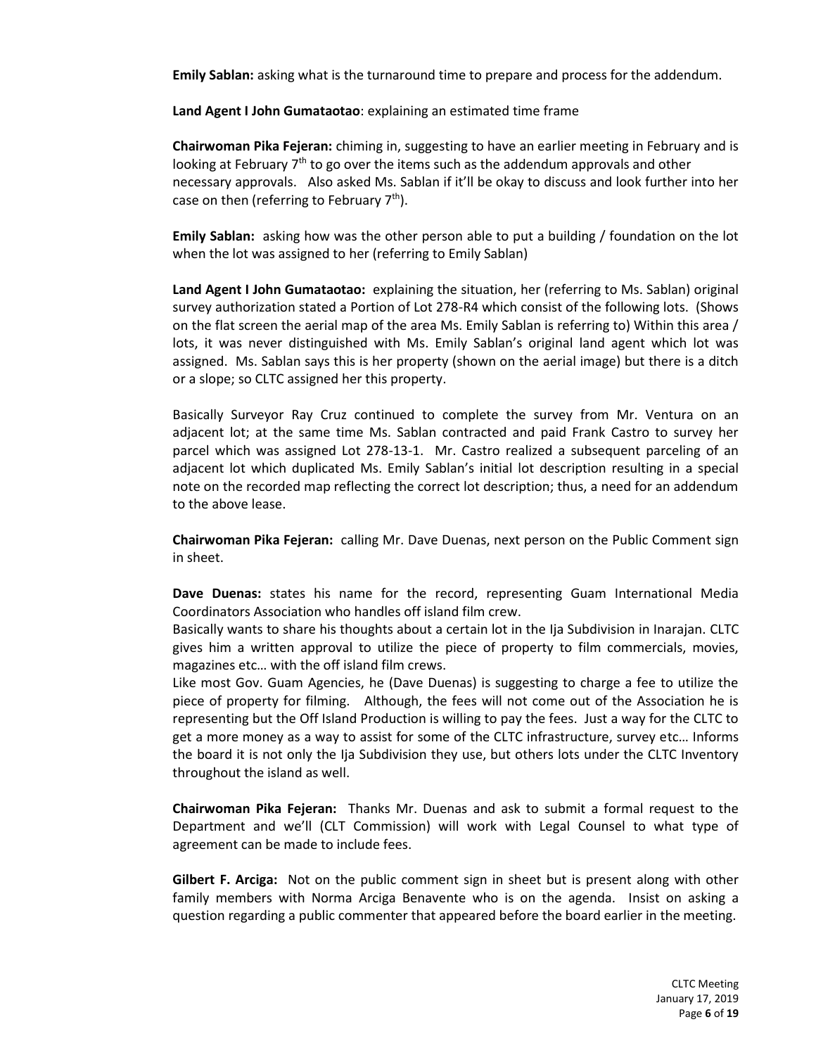**Emily Sablan:** asking what is the turnaround time to prepare and process for the addendum.

**Land Agent I John Gumataotao**: explaining an estimated time frame

**Chairwoman Pika Fejeran:** chiming in, suggesting to have an earlier meeting in February and is looking at February  $7<sup>th</sup>$  to go over the items such as the addendum approvals and other necessary approvals. Also asked Ms. Sablan if it'll be okay to discuss and look further into her case on then (referring to February 7<sup>th</sup>).

**Emily Sablan:** asking how was the other person able to put a building / foundation on the lot when the lot was assigned to her (referring to Emily Sablan)

**Land Agent I John Gumataotao:** explaining the situation, her (referring to Ms. Sablan) original survey authorization stated a Portion of Lot 278-R4 which consist of the following lots. (Shows on the flat screen the aerial map of the area Ms. Emily Sablan is referring to) Within this area / lots, it was never distinguished with Ms. Emily Sablan's original land agent which lot was assigned. Ms. Sablan says this is her property (shown on the aerial image) but there is a ditch or a slope; so CLTC assigned her this property.

Basically Surveyor Ray Cruz continued to complete the survey from Mr. Ventura on an adjacent lot; at the same time Ms. Sablan contracted and paid Frank Castro to survey her parcel which was assigned Lot 278-13-1. Mr. Castro realized a subsequent parceling of an adjacent lot which duplicated Ms. Emily Sablan's initial lot description resulting in a special note on the recorded map reflecting the correct lot description; thus, a need for an addendum to the above lease.

**Chairwoman Pika Fejeran:** calling Mr. Dave Duenas, next person on the Public Comment sign in sheet.

**Dave Duenas:** states his name for the record, representing Guam International Media Coordinators Association who handles off island film crew.

Basically wants to share his thoughts about a certain lot in the Ija Subdivision in Inarajan. CLTC gives him a written approval to utilize the piece of property to film commercials, movies, magazines etc… with the off island film crews.

Like most Gov. Guam Agencies, he (Dave Duenas) is suggesting to charge a fee to utilize the piece of property for filming. Although, the fees will not come out of the Association he is representing but the Off Island Production is willing to pay the fees. Just a way for the CLTC to get a more money as a way to assist for some of the CLTC infrastructure, survey etc… Informs the board it is not only the Ija Subdivision they use, but others lots under the CLTC Inventory throughout the island as well.

**Chairwoman Pika Fejeran:** Thanks Mr. Duenas and ask to submit a formal request to the Department and we'll (CLT Commission) will work with Legal Counsel to what type of agreement can be made to include fees.

**Gilbert F. Arciga:** Not on the public comment sign in sheet but is present along with other family members with Norma Arciga Benavente who is on the agenda. Insist on asking a question regarding a public commenter that appeared before the board earlier in the meeting.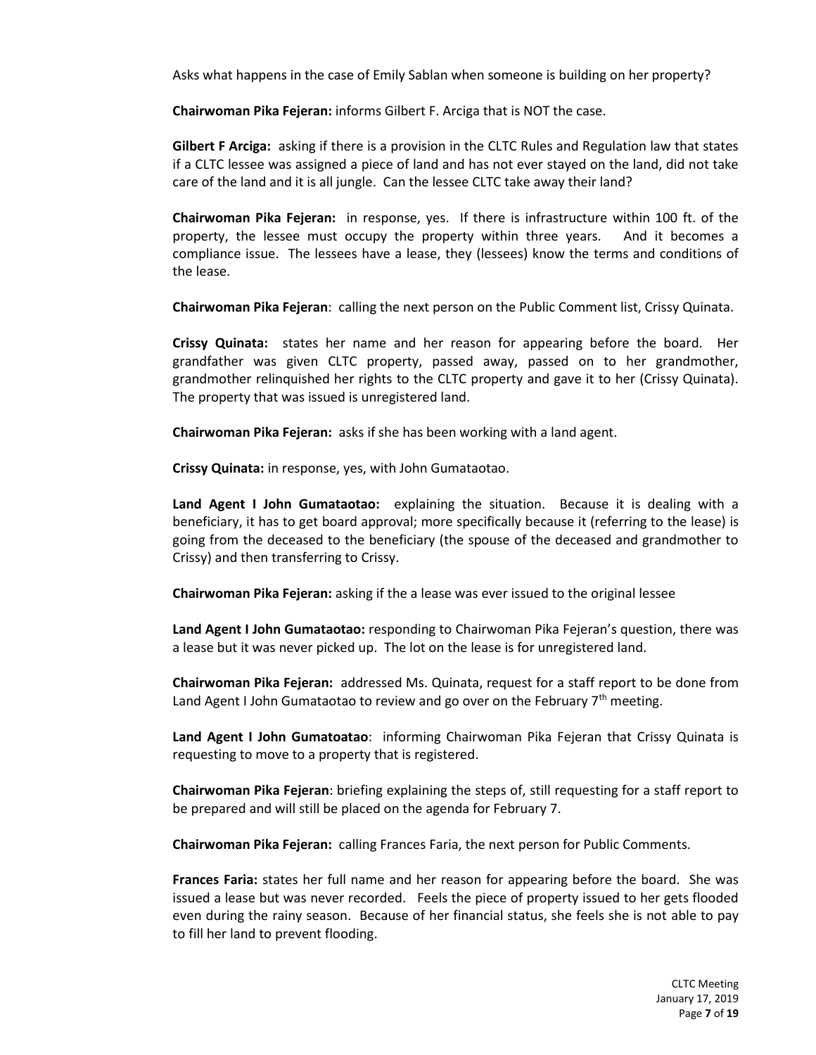Asks what happens in the case of Emily Sablan when someone is building on her property?

**Chairwoman Pika Fejeran:** informs Gilbert F. Arciga that is NOT the case.

**Gilbert F Arciga:** asking if there is a provision in the CLTC Rules and Regulation law that states if a CLTC lessee was assigned a piece of land and has not ever stayed on the land, did not take care of the land and it is all jungle. Can the lessee CLTC take away their land?

**Chairwoman Pika Fejeran:** in response, yes. If there is infrastructure within 100 ft. of the property, the lessee must occupy the property within three years. And it becomes a compliance issue. The lessees have a lease, they (lessees) know the terms and conditions of the lease.

**Chairwoman Pika Fejeran**: calling the next person on the Public Comment list, Crissy Quinata.

**Crissy Quinata:** states her name and her reason for appearing before the board. Her grandfather was given CLTC property, passed away, passed on to her grandmother, grandmother relinquished her rights to the CLTC property and gave it to her (Crissy Quinata). The property that was issued is unregistered land.

**Chairwoman Pika Fejeran:** asks if she has been working with a land agent.

**Crissy Quinata:** in response, yes, with John Gumataotao.

**Land Agent I John Gumataotao:** explaining the situation. Because it is dealing with a beneficiary, it has to get board approval; more specifically because it (referring to the lease) is going from the deceased to the beneficiary (the spouse of the deceased and grandmother to Crissy) and then transferring to Crissy.

**Chairwoman Pika Fejeran:** asking if the a lease was ever issued to the original lessee

**Land Agent I John Gumataotao:** responding to Chairwoman Pika Fejeran's question, there was a lease but it was never picked up. The lot on the lease is for unregistered land.

**Chairwoman Pika Fejeran:** addressed Ms. Quinata, request for a staff report to be done from Land Agent I John Gumataotao to review and go over on the February 7<sup>th</sup> meeting.

**Land Agent I John Gumatoatao**: informing Chairwoman Pika Fejeran that Crissy Quinata is requesting to move to a property that is registered.

**Chairwoman Pika Fejeran**: briefing explaining the steps of, still requesting for a staff report to be prepared and will still be placed on the agenda for February 7.

**Chairwoman Pika Fejeran:** calling Frances Faria, the next person for Public Comments.

**Frances Faria:** states her full name and her reason for appearing before the board. She was issued a lease but was never recorded. Feels the piece of property issued to her gets flooded even during the rainy season. Because of her financial status, she feels she is not able to pay to fill her land to prevent flooding.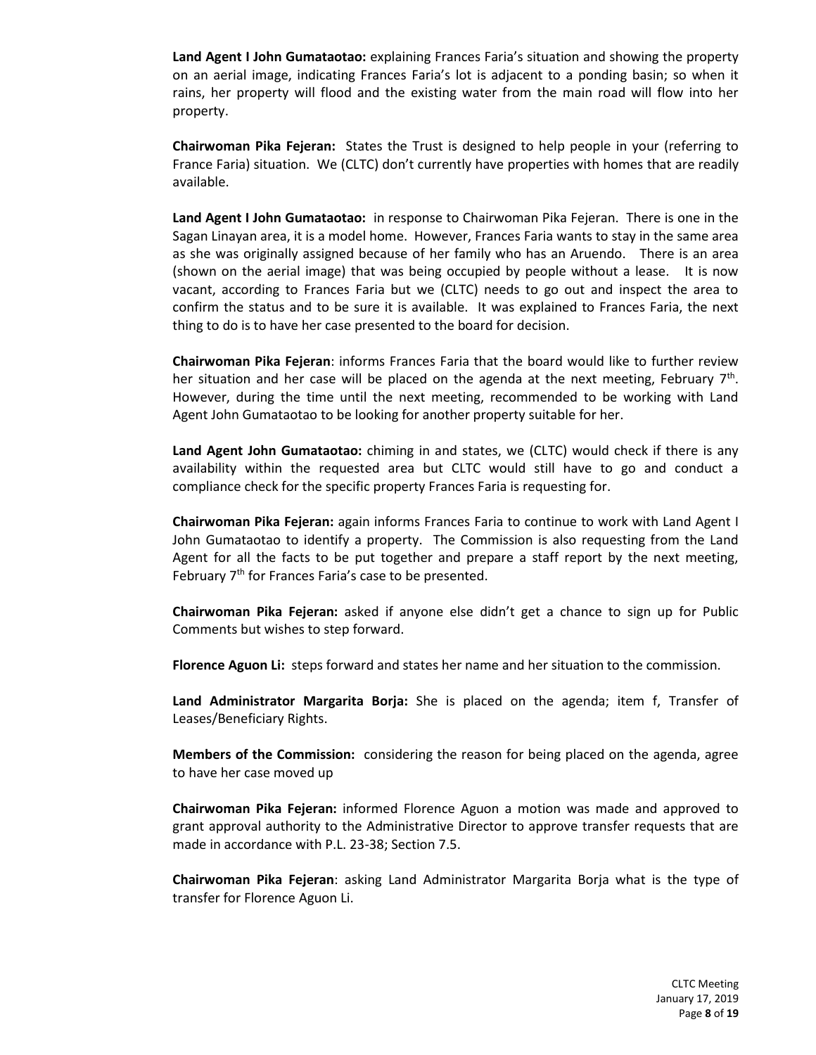**Land Agent I John Gumataotao:** explaining Frances Faria's situation and showing the property on an aerial image, indicating Frances Faria's lot is adjacent to a ponding basin; so when it rains, her property will flood and the existing water from the main road will flow into her property.

**Chairwoman Pika Fejeran:** States the Trust is designed to help people in your (referring to France Faria) situation. We (CLTC) don't currently have properties with homes that are readily available.

**Land Agent I John Gumataotao:** in response to Chairwoman Pika Fejeran. There is one in the Sagan Linayan area, it is a model home. However, Frances Faria wants to stay in the same area as she was originally assigned because of her family who has an Aruendo. There is an area (shown on the aerial image) that was being occupied by people without a lease. It is now vacant, according to Frances Faria but we (CLTC) needs to go out and inspect the area to confirm the status and to be sure it is available. It was explained to Frances Faria, the next thing to do is to have her case presented to the board for decision.

**Chairwoman Pika Fejeran**: informs Frances Faria that the board would like to further review her situation and her case will be placed on the agenda at the next meeting, February 7<sup>th</sup>. However, during the time until the next meeting, recommended to be working with Land Agent John Gumataotao to be looking for another property suitable for her.

**Land Agent John Gumataotao:** chiming in and states, we (CLTC) would check if there is any availability within the requested area but CLTC would still have to go and conduct a compliance check for the specific property Frances Faria is requesting for.

**Chairwoman Pika Fejeran:** again informs Frances Faria to continue to work with Land Agent I John Gumataotao to identify a property. The Commission is also requesting from the Land Agent for all the facts to be put together and prepare a staff report by the next meeting, February 7<sup>th</sup> for Frances Faria's case to be presented.

**Chairwoman Pika Fejeran:** asked if anyone else didn't get a chance to sign up for Public Comments but wishes to step forward.

**Florence Aguon Li:** steps forward and states her name and her situation to the commission.

**Land Administrator Margarita Borja:** She is placed on the agenda; item f, Transfer of Leases/Beneficiary Rights.

**Members of the Commission:** considering the reason for being placed on the agenda, agree to have her case moved up

**Chairwoman Pika Fejeran:** informed Florence Aguon a motion was made and approved to grant approval authority to the Administrative Director to approve transfer requests that are made in accordance with P.L. 23-38; Section 7.5.

**Chairwoman Pika Fejeran**: asking Land Administrator Margarita Borja what is the type of transfer for Florence Aguon Li.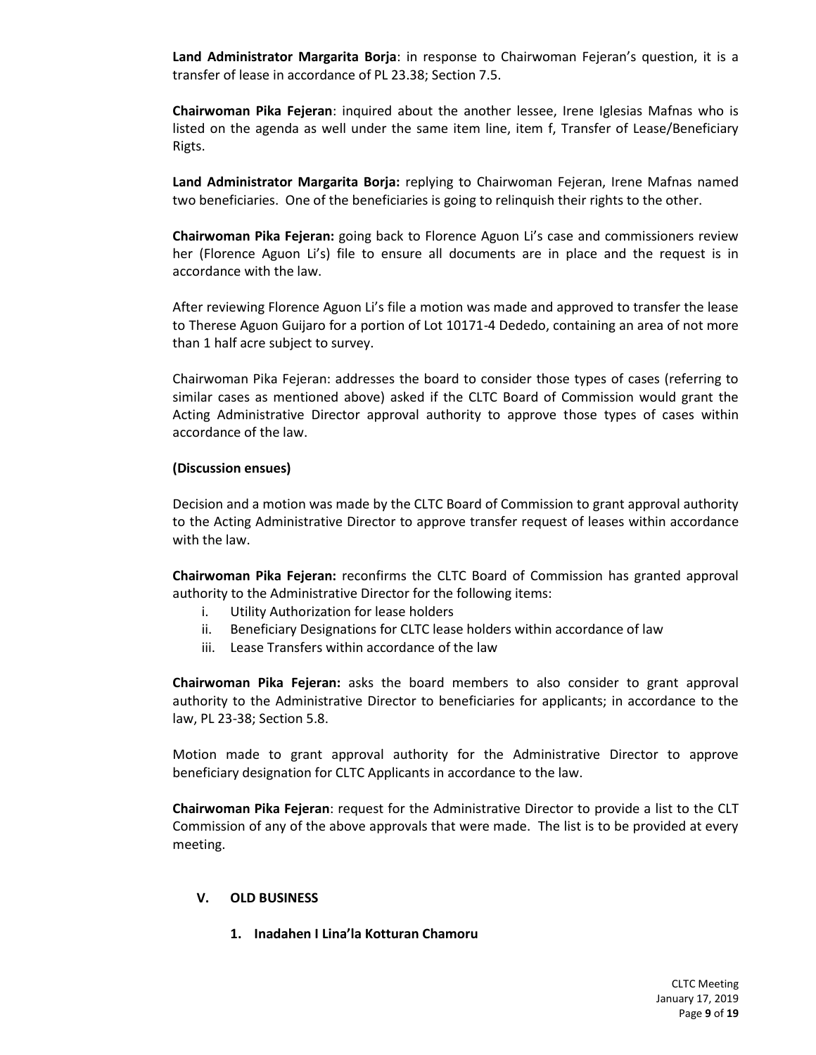**Land Administrator Margarita Borja**: in response to Chairwoman Fejeran's question, it is a transfer of lease in accordance of PL 23.38; Section 7.5.

**Chairwoman Pika Fejeran**: inquired about the another lessee, Irene Iglesias Mafnas who is listed on the agenda as well under the same item line, item f, Transfer of Lease/Beneficiary Rigts.

**Land Administrator Margarita Borja:** replying to Chairwoman Fejeran, Irene Mafnas named two beneficiaries. One of the beneficiaries is going to relinquish their rights to the other.

**Chairwoman Pika Fejeran:** going back to Florence Aguon Li's case and commissioners review her (Florence Aguon Li's) file to ensure all documents are in place and the request is in accordance with the law.

After reviewing Florence Aguon Li's file a motion was made and approved to transfer the lease to Therese Aguon Guijaro for a portion of Lot 10171-4 Dededo, containing an area of not more than 1 half acre subject to survey.

Chairwoman Pika Fejeran: addresses the board to consider those types of cases (referring to similar cases as mentioned above) asked if the CLTC Board of Commission would grant the Acting Administrative Director approval authority to approve those types of cases within accordance of the law.

#### **(Discussion ensues)**

Decision and a motion was made by the CLTC Board of Commission to grant approval authority to the Acting Administrative Director to approve transfer request of leases within accordance with the law.

**Chairwoman Pika Fejeran:** reconfirms the CLTC Board of Commission has granted approval authority to the Administrative Director for the following items:

- i. Utility Authorization for lease holders
- ii. Beneficiary Designations for CLTC lease holders within accordance of law
- iii. Lease Transfers within accordance of the law

**Chairwoman Pika Fejeran:** asks the board members to also consider to grant approval authority to the Administrative Director to beneficiaries for applicants; in accordance to the law, PL 23-38; Section 5.8.

Motion made to grant approval authority for the Administrative Director to approve beneficiary designation for CLTC Applicants in accordance to the law.

**Chairwoman Pika Fejeran**: request for the Administrative Director to provide a list to the CLT Commission of any of the above approvals that were made. The list is to be provided at every meeting.

#### **V. OLD BUSINESS**

**1. Inadahen I Lina'la Kotturan Chamoru**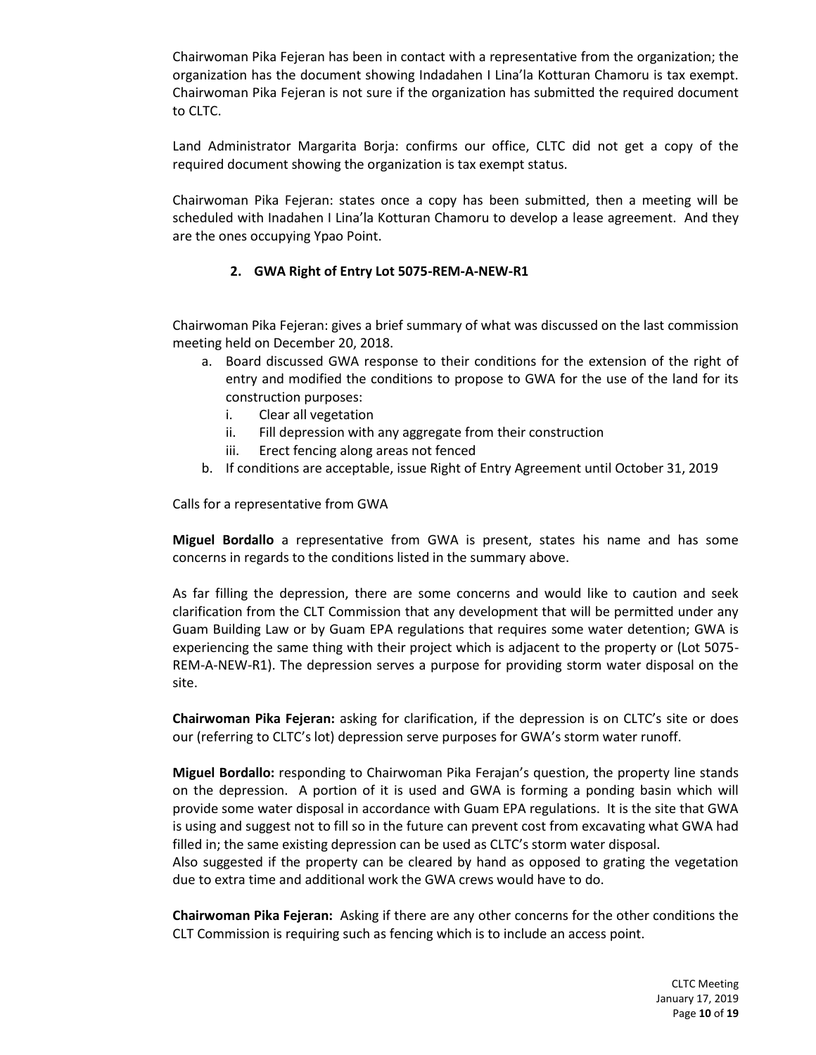Chairwoman Pika Fejeran has been in contact with a representative from the organization; the organization has the document showing Indadahen I Lina'la Kotturan Chamoru is tax exempt. Chairwoman Pika Fejeran is not sure if the organization has submitted the required document to CLTC.

Land Administrator Margarita Borja: confirms our office, CLTC did not get a copy of the required document showing the organization is tax exempt status.

Chairwoman Pika Fejeran: states once a copy has been submitted, then a meeting will be scheduled with Inadahen I Lina'la Kotturan Chamoru to develop a lease agreement. And they are the ones occupying Ypao Point.

### **2. GWA Right of Entry Lot 5075-REM-A-NEW-R1**

Chairwoman Pika Fejeran: gives a brief summary of what was discussed on the last commission meeting held on December 20, 2018.

- a. Board discussed GWA response to their conditions for the extension of the right of entry and modified the conditions to propose to GWA for the use of the land for its construction purposes:
	- i. Clear all vegetation
	- ii. Fill depression with any aggregate from their construction
	- iii. Erect fencing along areas not fenced
- b. If conditions are acceptable, issue Right of Entry Agreement until October 31, 2019

Calls for a representative from GWA

**Miguel Bordallo** a representative from GWA is present, states his name and has some concerns in regards to the conditions listed in the summary above.

As far filling the depression, there are some concerns and would like to caution and seek clarification from the CLT Commission that any development that will be permitted under any Guam Building Law or by Guam EPA regulations that requires some water detention; GWA is experiencing the same thing with their project which is adjacent to the property or (Lot 5075- REM-A-NEW-R1). The depression serves a purpose for providing storm water disposal on the site.

**Chairwoman Pika Fejeran:** asking for clarification, if the depression is on CLTC's site or does our (referring to CLTC's lot) depression serve purposes for GWA's storm water runoff.

**Miguel Bordallo:** responding to Chairwoman Pika Ferajan's question, the property line stands on the depression. A portion of it is used and GWA is forming a ponding basin which will provide some water disposal in accordance with Guam EPA regulations. It is the site that GWA is using and suggest not to fill so in the future can prevent cost from excavating what GWA had filled in; the same existing depression can be used as CLTC's storm water disposal. Also suggested if the property can be cleared by hand as opposed to grating the vegetation

due to extra time and additional work the GWA crews would have to do.

**Chairwoman Pika Fejeran:** Asking if there are any other concerns for the other conditions the CLT Commission is requiring such as fencing which is to include an access point.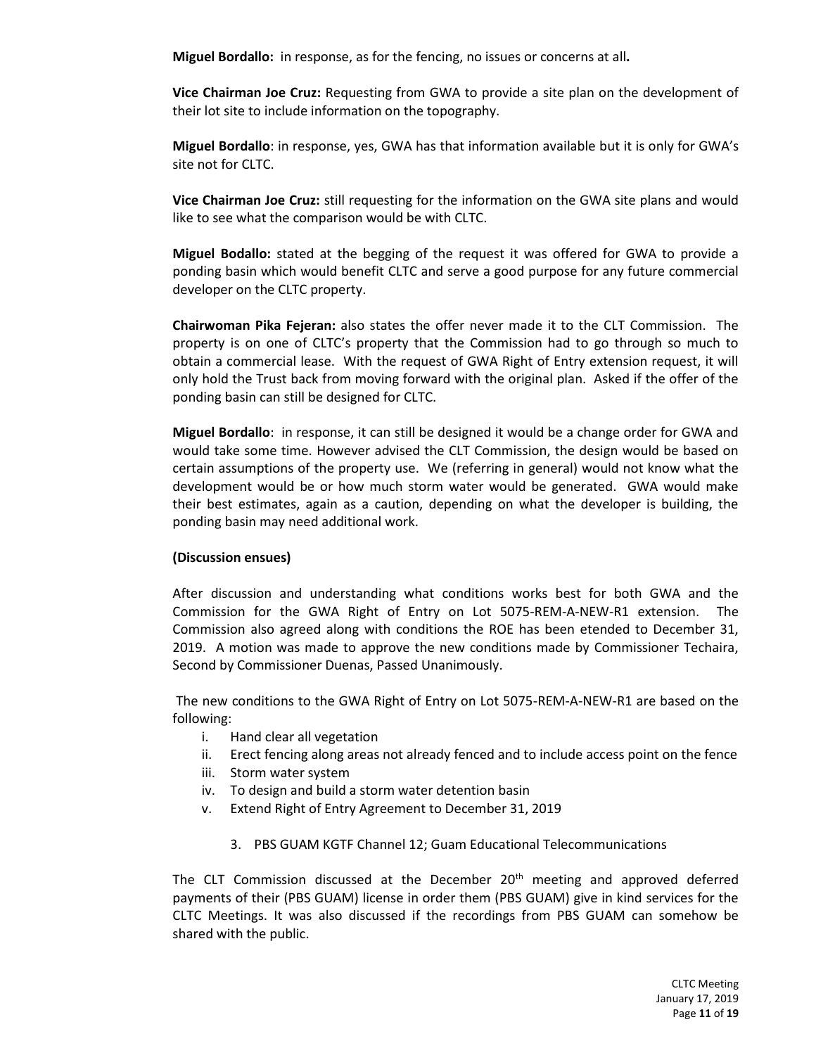**Miguel Bordallo:** in response, as for the fencing, no issues or concerns at all**.** 

**Vice Chairman Joe Cruz:** Requesting from GWA to provide a site plan on the development of their lot site to include information on the topography.

**Miguel Bordallo**: in response, yes, GWA has that information available but it is only for GWA's site not for CLTC.

**Vice Chairman Joe Cruz:** still requesting for the information on the GWA site plans and would like to see what the comparison would be with CLTC.

**Miguel Bodallo:** stated at the begging of the request it was offered for GWA to provide a ponding basin which would benefit CLTC and serve a good purpose for any future commercial developer on the CLTC property.

**Chairwoman Pika Fejeran:** also states the offer never made it to the CLT Commission. The property is on one of CLTC's property that the Commission had to go through so much to obtain a commercial lease. With the request of GWA Right of Entry extension request, it will only hold the Trust back from moving forward with the original plan. Asked if the offer of the ponding basin can still be designed for CLTC.

**Miguel Bordallo**: in response, it can still be designed it would be a change order for GWA and would take some time. However advised the CLT Commission, the design would be based on certain assumptions of the property use. We (referring in general) would not know what the development would be or how much storm water would be generated. GWA would make their best estimates, again as a caution, depending on what the developer is building, the ponding basin may need additional work.

#### **(Discussion ensues)**

After discussion and understanding what conditions works best for both GWA and the Commission for the GWA Right of Entry on Lot 5075-REM-A-NEW-R1 extension. The Commission also agreed along with conditions the ROE has been etended to December 31, 2019. A motion was made to approve the new conditions made by Commissioner Techaira, Second by Commissioner Duenas, Passed Unanimously.

The new conditions to the GWA Right of Entry on Lot 5075-REM-A-NEW-R1 are based on the following:

- i. Hand clear all vegetation
- ii. Erect fencing along areas not already fenced and to include access point on the fence
- iii. Storm water system
- iv. To design and build a storm water detention basin
- v. Extend Right of Entry Agreement to December 31, 2019
	- 3. PBS GUAM KGTF Channel 12; Guam Educational Telecommunications

The CLT Commission discussed at the December  $20<sup>th</sup>$  meeting and approved deferred payments of their (PBS GUAM) license in order them (PBS GUAM) give in kind services for the CLTC Meetings. It was also discussed if the recordings from PBS GUAM can somehow be shared with the public.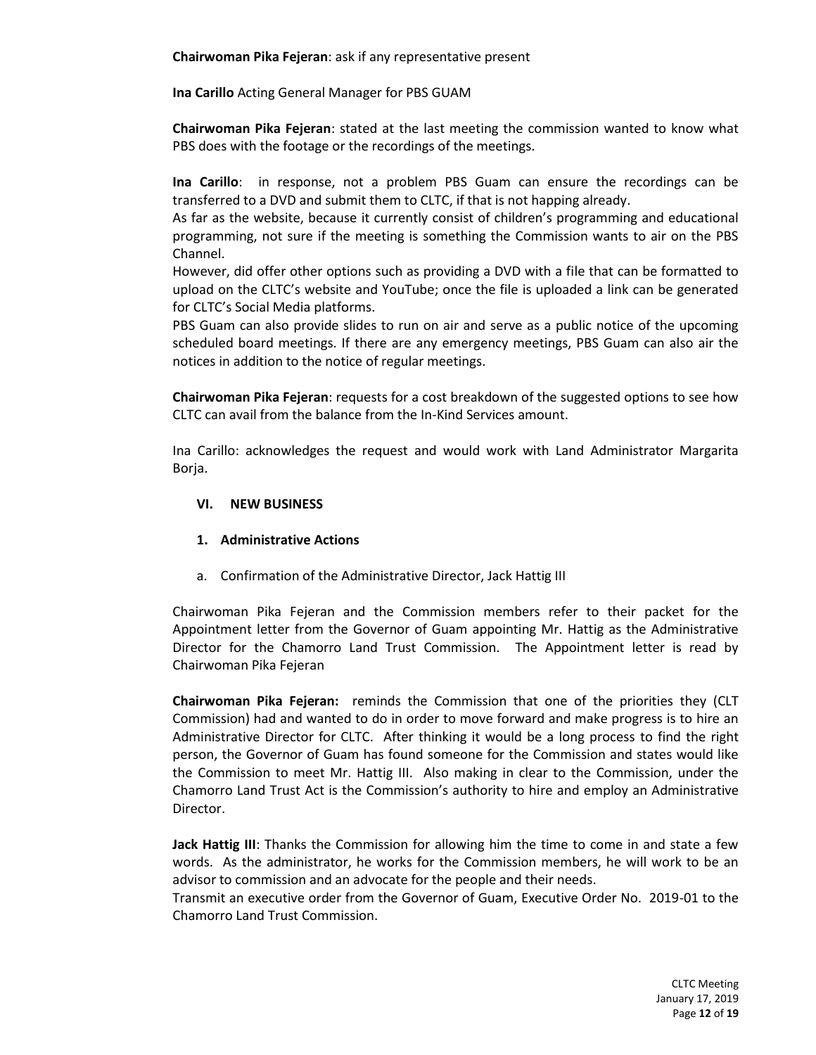**Chairwoman Pika Fejeran**: ask if any representative present

**Ina Carillo** Acting General Manager for PBS GUAM

**Chairwoman Pika Fejeran**: stated at the last meeting the commission wanted to know what PBS does with the footage or the recordings of the meetings.

**Ina Carillo**: in response, not a problem PBS Guam can ensure the recordings can be transferred to a DVD and submit them to CLTC, if that is not happing already.

As far as the website, because it currently consist of children's programming and educational programming, not sure if the meeting is something the Commission wants to air on the PBS Channel.

However, did offer other options such as providing a DVD with a file that can be formatted to upload on the CLTC's website and YouTube; once the file is uploaded a link can be generated for CLTC's Social Media platforms.

PBS Guam can also provide slides to run on air and serve as a public notice of the upcoming scheduled board meetings. If there are any emergency meetings, PBS Guam can also air the notices in addition to the notice of regular meetings.

**Chairwoman Pika Fejeran**: requests for a cost breakdown of the suggested options to see how CLTC can avail from the balance from the In-Kind Services amount.

Ina Carillo: acknowledges the request and would work with Land Administrator Margarita Borja.

#### **VI. NEW BUSINESS**

#### **1. Administrative Actions**

a. Confirmation of the Administrative Director, Jack Hattig III

Chairwoman Pika Fejeran and the Commission members refer to their packet for the Appointment letter from the Governor of Guam appointing Mr. Hattig as the Administrative Director for the Chamorro Land Trust Commission. The Appointment letter is read by Chairwoman Pika Fejeran

**Chairwoman Pika Fejeran:** reminds the Commission that one of the priorities they (CLT Commission) had and wanted to do in order to move forward and make progress is to hire an Administrative Director for CLTC. After thinking it would be a long process to find the right person, the Governor of Guam has found someone for the Commission and states would like the Commission to meet Mr. Hattig III. Also making in clear to the Commission, under the Chamorro Land Trust Act is the Commission's authority to hire and employ an Administrative Director.

**Jack Hattig III**: Thanks the Commission for allowing him the time to come in and state a few words. As the administrator, he works for the Commission members, he will work to be an advisor to commission and an advocate for the people and their needs.

Transmit an executive order from the Governor of Guam, Executive Order No. 2019-01 to the Chamorro Land Trust Commission.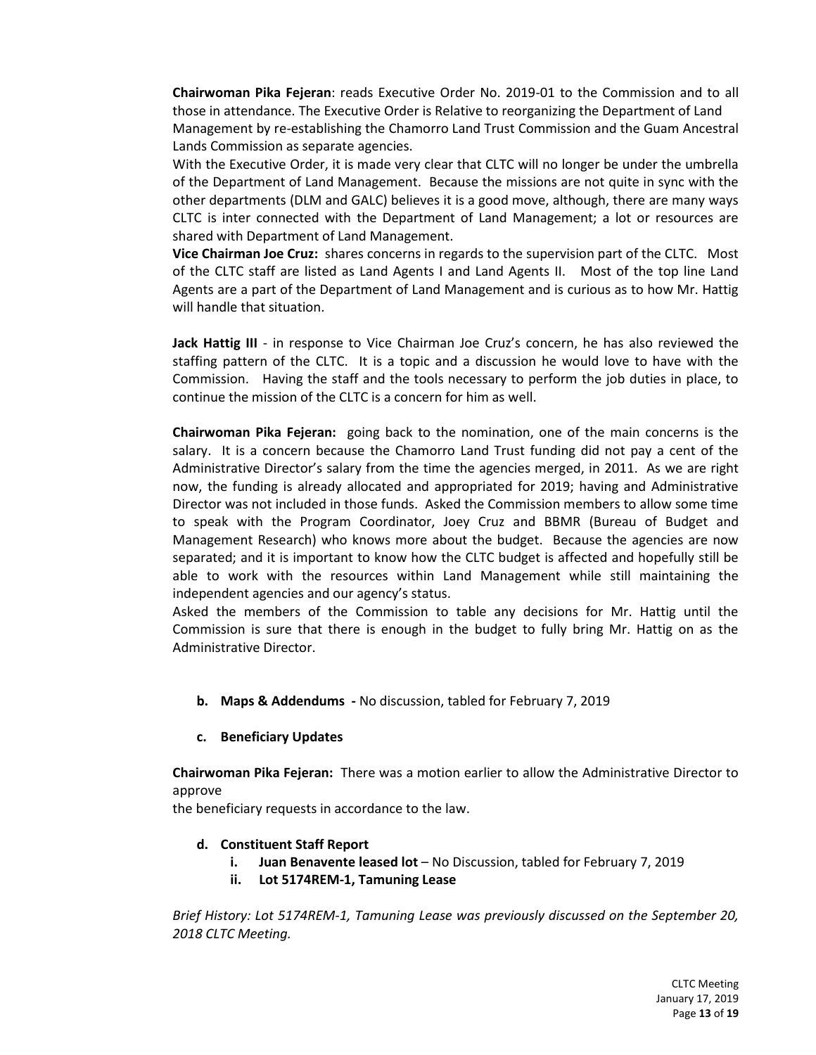**Chairwoman Pika Fejeran**: reads Executive Order No. 2019-01 to the Commission and to all those in attendance. The Executive Order is Relative to reorganizing the Department of Land Management by re-establishing the Chamorro Land Trust Commission and the Guam Ancestral Lands Commission as separate agencies.

With the Executive Order, it is made very clear that CLTC will no longer be under the umbrella of the Department of Land Management. Because the missions are not quite in sync with the other departments (DLM and GALC) believes it is a good move, although, there are many ways CLTC is inter connected with the Department of Land Management; a lot or resources are shared with Department of Land Management.

**Vice Chairman Joe Cruz:** shares concerns in regards to the supervision part of the CLTC. Most of the CLTC staff are listed as Land Agents I and Land Agents II. Most of the top line Land Agents are a part of the Department of Land Management and is curious as to how Mr. Hattig will handle that situation.

**Jack Hattig III** - in response to Vice Chairman Joe Cruz's concern, he has also reviewed the staffing pattern of the CLTC. It is a topic and a discussion he would love to have with the Commission. Having the staff and the tools necessary to perform the job duties in place, to continue the mission of the CLTC is a concern for him as well.

**Chairwoman Pika Fejeran:** going back to the nomination, one of the main concerns is the salary. It is a concern because the Chamorro Land Trust funding did not pay a cent of the Administrative Director's salary from the time the agencies merged, in 2011. As we are right now, the funding is already allocated and appropriated for 2019; having and Administrative Director was not included in those funds. Asked the Commission members to allow some time to speak with the Program Coordinator, Joey Cruz and BBMR (Bureau of Budget and Management Research) who knows more about the budget. Because the agencies are now separated; and it is important to know how the CLTC budget is affected and hopefully still be able to work with the resources within Land Management while still maintaining the independent agencies and our agency's status.

Asked the members of the Commission to table any decisions for Mr. Hattig until the Commission is sure that there is enough in the budget to fully bring Mr. Hattig on as the Administrative Director.

- **b. Maps & Addendums -** No discussion, tabled for February 7, 2019
- **c. Beneficiary Updates**

**Chairwoman Pika Fejeran:** There was a motion earlier to allow the Administrative Director to approve

the beneficiary requests in accordance to the law.

- **d. Constituent Staff Report**
	- **i. Juan Benavente leased lot** No Discussion, tabled for February 7, 2019
	- **ii. Lot 5174REM-1, Tamuning Lease**

*Brief History: Lot 5174REM-1, Tamuning Lease was previously discussed on the September 20, 2018 CLTC Meeting.*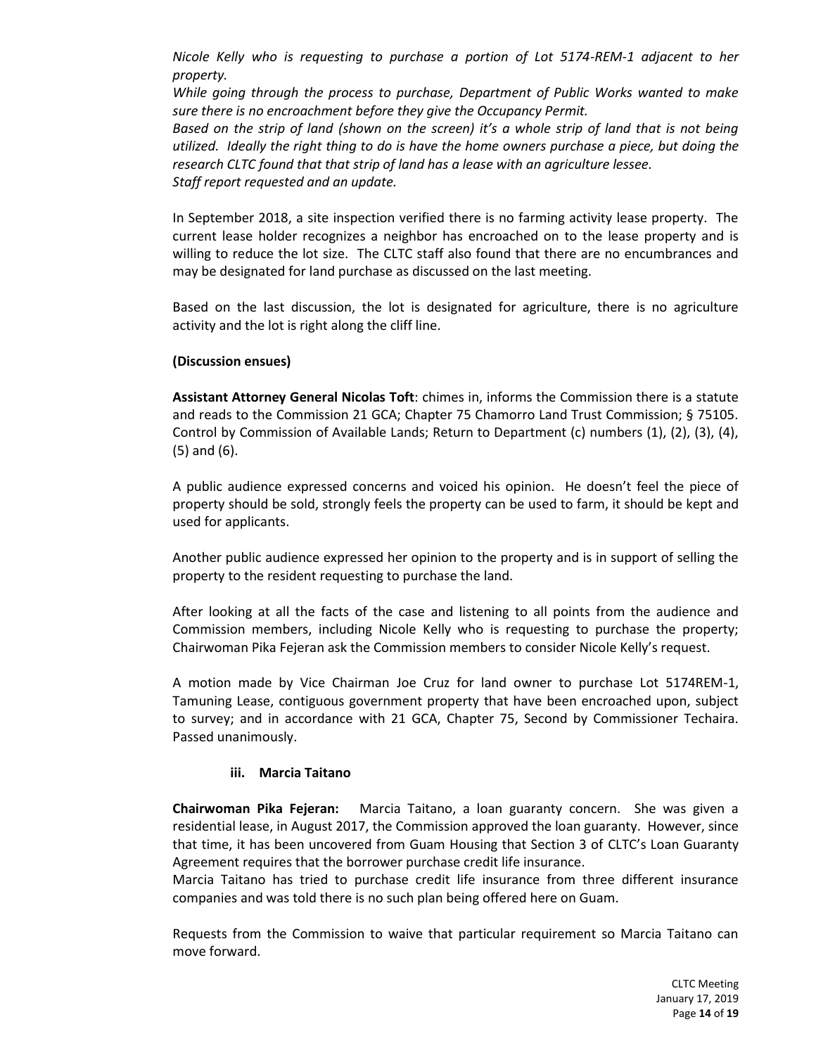*Nicole Kelly who is requesting to purchase a portion of Lot 5174-REM-1 adjacent to her property.* 

*While going through the process to purchase, Department of Public Works wanted to make sure there is no encroachment before they give the Occupancy Permit.* 

*Based on the strip of land (shown on the screen) it's a whole strip of land that is not being utilized. Ideally the right thing to do is have the home owners purchase a piece, but doing the research CLTC found that that strip of land has a lease with an agriculture lessee. Staff report requested and an update.*

In September 2018, a site inspection verified there is no farming activity lease property. The current lease holder recognizes a neighbor has encroached on to the lease property and is willing to reduce the lot size. The CLTC staff also found that there are no encumbrances and may be designated for land purchase as discussed on the last meeting.

Based on the last discussion, the lot is designated for agriculture, there is no agriculture activity and the lot is right along the cliff line.

#### **(Discussion ensues)**

**Assistant Attorney General Nicolas Toft**: chimes in, informs the Commission there is a statute and reads to the Commission 21 GCA; Chapter 75 Chamorro Land Trust Commission; § 75105. Control by Commission of Available Lands; Return to Department (c) numbers (1), (2), (3), (4), (5) and (6).

A public audience expressed concerns and voiced his opinion. He doesn't feel the piece of property should be sold, strongly feels the property can be used to farm, it should be kept and used for applicants.

Another public audience expressed her opinion to the property and is in support of selling the property to the resident requesting to purchase the land.

After looking at all the facts of the case and listening to all points from the audience and Commission members, including Nicole Kelly who is requesting to purchase the property; Chairwoman Pika Fejeran ask the Commission members to consider Nicole Kelly's request.

A motion made by Vice Chairman Joe Cruz for land owner to purchase Lot 5174REM-1, Tamuning Lease, contiguous government property that have been encroached upon, subject to survey; and in accordance with 21 GCA, Chapter 75, Second by Commissioner Techaira. Passed unanimously.

#### **iii. Marcia Taitano**

**Chairwoman Pika Fejeran:** Marcia Taitano, a loan guaranty concern. She was given a residential lease, in August 2017, the Commission approved the loan guaranty. However, since that time, it has been uncovered from Guam Housing that Section 3 of CLTC's Loan Guaranty Agreement requires that the borrower purchase credit life insurance.

Marcia Taitano has tried to purchase credit life insurance from three different insurance companies and was told there is no such plan being offered here on Guam.

Requests from the Commission to waive that particular requirement so Marcia Taitano can move forward.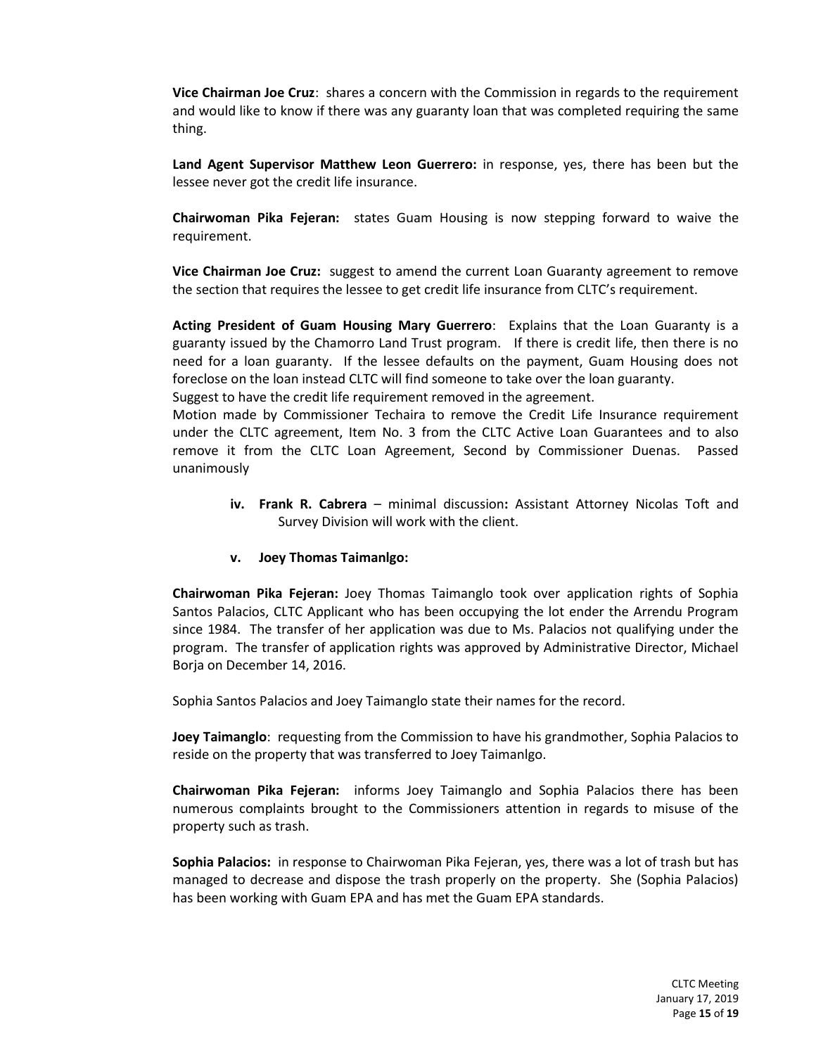**Vice Chairman Joe Cruz**: shares a concern with the Commission in regards to the requirement and would like to know if there was any guaranty loan that was completed requiring the same thing.

**Land Agent Supervisor Matthew Leon Guerrero:** in response, yes, there has been but the lessee never got the credit life insurance.

**Chairwoman Pika Fejeran:** states Guam Housing is now stepping forward to waive the requirement.

**Vice Chairman Joe Cruz:** suggest to amend the current Loan Guaranty agreement to remove the section that requires the lessee to get credit life insurance from CLTC's requirement.

**Acting President of Guam Housing Mary Guerrero**: Explains that the Loan Guaranty is a guaranty issued by the Chamorro Land Trust program. If there is credit life, then there is no need for a loan guaranty. If the lessee defaults on the payment, Guam Housing does not foreclose on the loan instead CLTC will find someone to take over the loan guaranty.

Suggest to have the credit life requirement removed in the agreement.

Motion made by Commissioner Techaira to remove the Credit Life Insurance requirement under the CLTC agreement, Item No. 3 from the CLTC Active Loan Guarantees and to also remove it from the CLTC Loan Agreement, Second by Commissioner Duenas. Passed unanimously

> **iv. Frank R. Cabrera** – minimal discussion**:** Assistant Attorney Nicolas Toft and Survey Division will work with the client.

#### **v. Joey Thomas Taimanlgo:**

**Chairwoman Pika Fejeran:** Joey Thomas Taimanglo took over application rights of Sophia Santos Palacios, CLTC Applicant who has been occupying the lot ender the Arrendu Program since 1984. The transfer of her application was due to Ms. Palacios not qualifying under the program. The transfer of application rights was approved by Administrative Director, Michael Borja on December 14, 2016.

Sophia Santos Palacios and Joey Taimanglo state their names for the record.

**Joey Taimanglo**: requesting from the Commission to have his grandmother, Sophia Palacios to reside on the property that was transferred to Joey Taimanlgo.

**Chairwoman Pika Fejeran:** informs Joey Taimanglo and Sophia Palacios there has been numerous complaints brought to the Commissioners attention in regards to misuse of the property such as trash.

**Sophia Palacios:** in response to Chairwoman Pika Fejeran, yes, there was a lot of trash but has managed to decrease and dispose the trash properly on the property. She (Sophia Palacios) has been working with Guam EPA and has met the Guam EPA standards.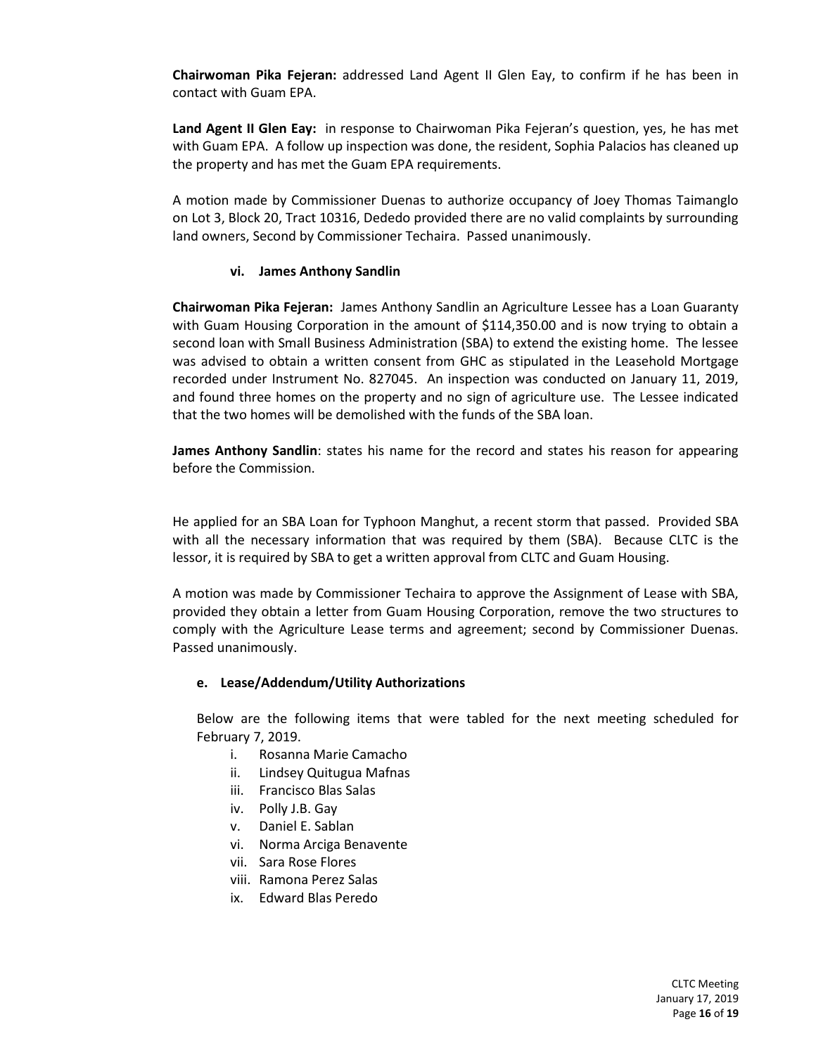**Chairwoman Pika Fejeran:** addressed Land Agent II Glen Eay, to confirm if he has been in contact with Guam EPA.

**Land Agent II Glen Eay:** in response to Chairwoman Pika Fejeran's question, yes, he has met with Guam EPA. A follow up inspection was done, the resident, Sophia Palacios has cleaned up the property and has met the Guam EPA requirements.

A motion made by Commissioner Duenas to authorize occupancy of Joey Thomas Taimanglo on Lot 3, Block 20, Tract 10316, Dededo provided there are no valid complaints by surrounding land owners, Second by Commissioner Techaira. Passed unanimously.

#### **vi. James Anthony Sandlin**

**Chairwoman Pika Fejeran:** James Anthony Sandlin an Agriculture Lessee has a Loan Guaranty with Guam Housing Corporation in the amount of \$114,350.00 and is now trying to obtain a second loan with Small Business Administration (SBA) to extend the existing home. The lessee was advised to obtain a written consent from GHC as stipulated in the Leasehold Mortgage recorded under Instrument No. 827045. An inspection was conducted on January 11, 2019, and found three homes on the property and no sign of agriculture use. The Lessee indicated that the two homes will be demolished with the funds of the SBA loan.

**James Anthony Sandlin**: states his name for the record and states his reason for appearing before the Commission.

He applied for an SBA Loan for Typhoon Manghut, a recent storm that passed. Provided SBA with all the necessary information that was required by them (SBA). Because CLTC is the lessor, it is required by SBA to get a written approval from CLTC and Guam Housing.

A motion was made by Commissioner Techaira to approve the Assignment of Lease with SBA, provided they obtain a letter from Guam Housing Corporation, remove the two structures to comply with the Agriculture Lease terms and agreement; second by Commissioner Duenas. Passed unanimously.

#### **e. Lease/Addendum/Utility Authorizations**

Below are the following items that were tabled for the next meeting scheduled for February 7, 2019.

- i. Rosanna Marie Camacho
- ii. Lindsey Quitugua Mafnas
- iii. Francisco Blas Salas
- iv. Polly J.B. Gay
- v. Daniel E. Sablan
- vi. Norma Arciga Benavente
- vii. Sara Rose Flores
- viii. Ramona Perez Salas
- ix. Edward Blas Peredo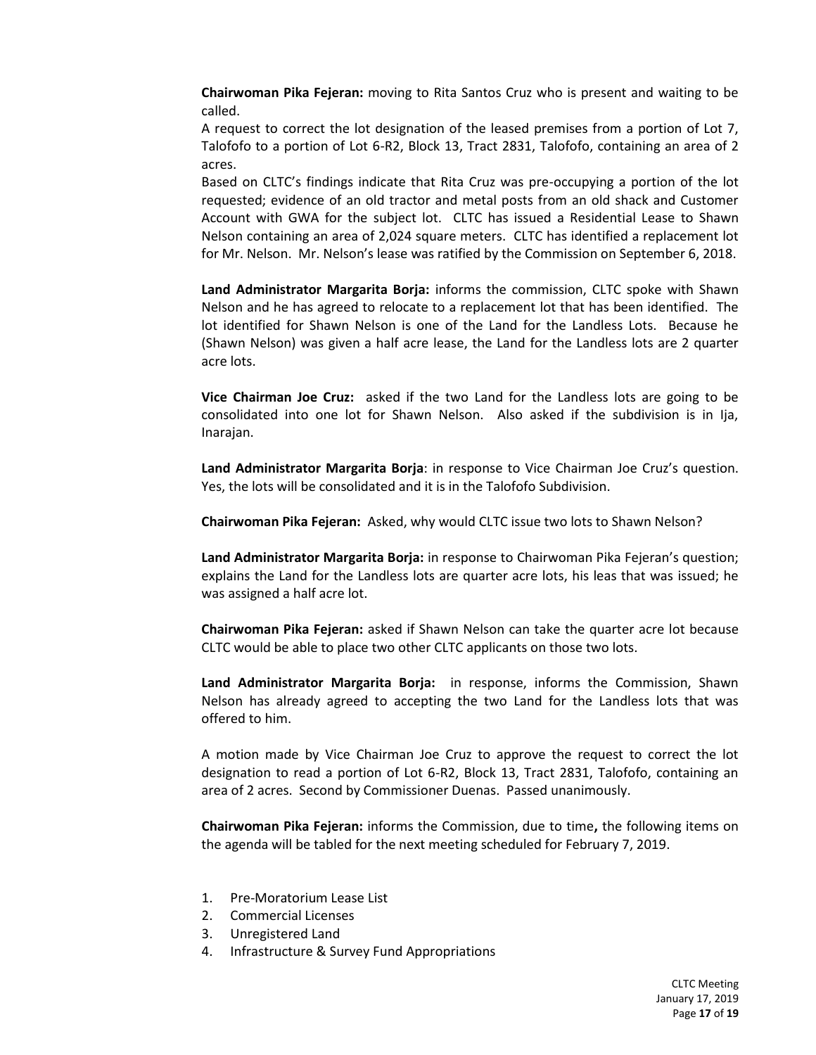**Chairwoman Pika Fejeran:** moving to Rita Santos Cruz who is present and waiting to be called.

A request to correct the lot designation of the leased premises from a portion of Lot 7, Talofofo to a portion of Lot 6-R2, Block 13, Tract 2831, Talofofo, containing an area of 2 acres.

Based on CLTC's findings indicate that Rita Cruz was pre-occupying a portion of the lot requested; evidence of an old tractor and metal posts from an old shack and Customer Account with GWA for the subject lot. CLTC has issued a Residential Lease to Shawn Nelson containing an area of 2,024 square meters. CLTC has identified a replacement lot for Mr. Nelson. Mr. Nelson's lease was ratified by the Commission on September 6, 2018.

**Land Administrator Margarita Borja:** informs the commission, CLTC spoke with Shawn Nelson and he has agreed to relocate to a replacement lot that has been identified. The lot identified for Shawn Nelson is one of the Land for the Landless Lots. Because he (Shawn Nelson) was given a half acre lease, the Land for the Landless lots are 2 quarter acre lots.

**Vice Chairman Joe Cruz:** asked if the two Land for the Landless lots are going to be consolidated into one lot for Shawn Nelson. Also asked if the subdivision is in Ija, Inarajan.

**Land Administrator Margarita Borja**: in response to Vice Chairman Joe Cruz's question. Yes, the lots will be consolidated and it is in the Talofofo Subdivision.

**Chairwoman Pika Fejeran:** Asked, why would CLTC issue two lots to Shawn Nelson?

**Land Administrator Margarita Borja:** in response to Chairwoman Pika Fejeran's question; explains the Land for the Landless lots are quarter acre lots, his leas that was issued; he was assigned a half acre lot.

**Chairwoman Pika Fejeran:** asked if Shawn Nelson can take the quarter acre lot because CLTC would be able to place two other CLTC applicants on those two lots.

**Land Administrator Margarita Borja:** in response, informs the Commission, Shawn Nelson has already agreed to accepting the two Land for the Landless lots that was offered to him.

A motion made by Vice Chairman Joe Cruz to approve the request to correct the lot designation to read a portion of Lot 6-R2, Block 13, Tract 2831, Talofofo, containing an area of 2 acres. Second by Commissioner Duenas. Passed unanimously.

**Chairwoman Pika Fejeran:** informs the Commission, due to time**,** the following items on the agenda will be tabled for the next meeting scheduled for February 7, 2019.

- 1. Pre-Moratorium Lease List
- 2. Commercial Licenses
- 3. Unregistered Land
- 4. Infrastructure & Survey Fund Appropriations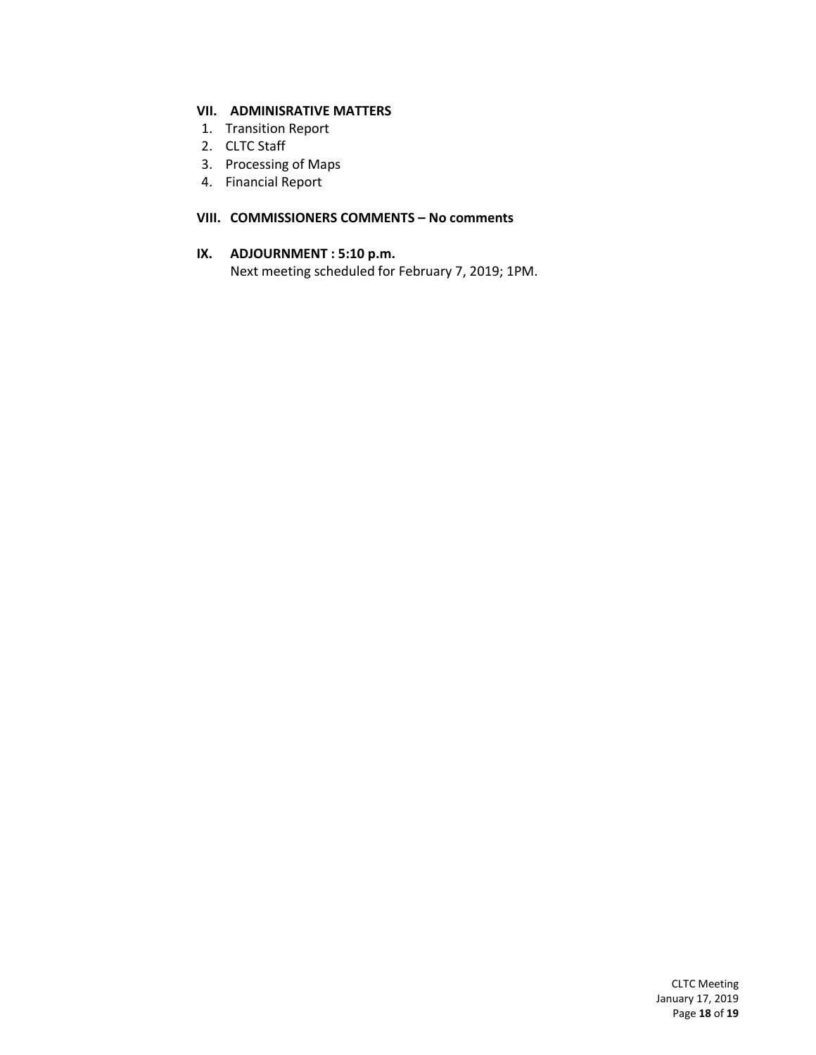# **VII. ADMINISRATIVE MATTERS**

- 1. Transition Report
- 2. CLTC Staff
- 3. Processing of Maps
- 4. Financial Report

#### **VIII. COMMISSIONERS COMMENTS – No comments**

#### **IX. ADJOURNMENT : 5:10 p.m.**

Next meeting scheduled for February 7, 2019; 1PM.